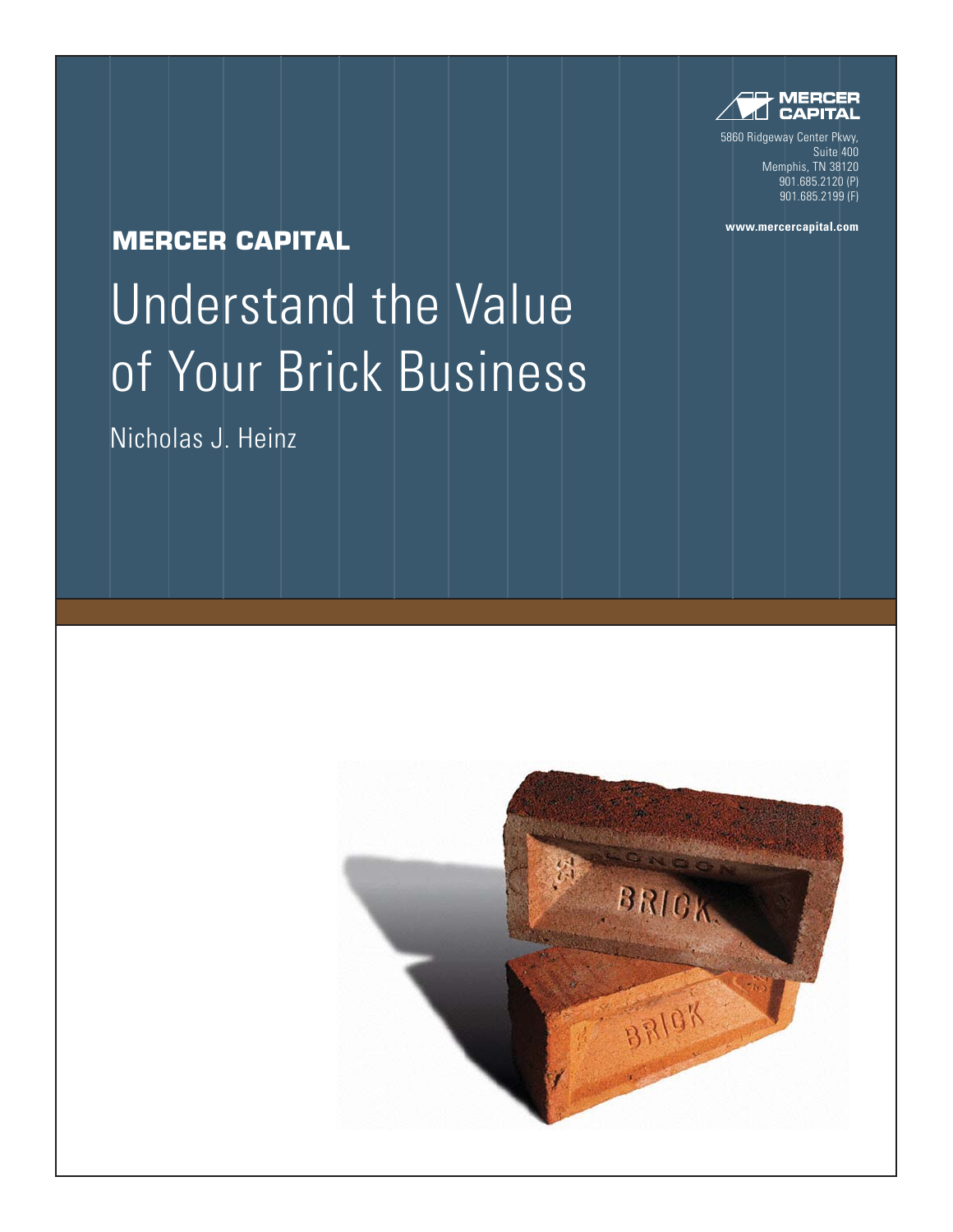

5860 Ridgeway Center Pkwy, Suite 400 Memphis, TN 38120 901.685.2120 (P) 901.685.2199 (F)

**www.mercercapital.com**

### **MERCER CAPITAL**

# Understand the Value of Your Brick Business

Nicholas J. Heinz

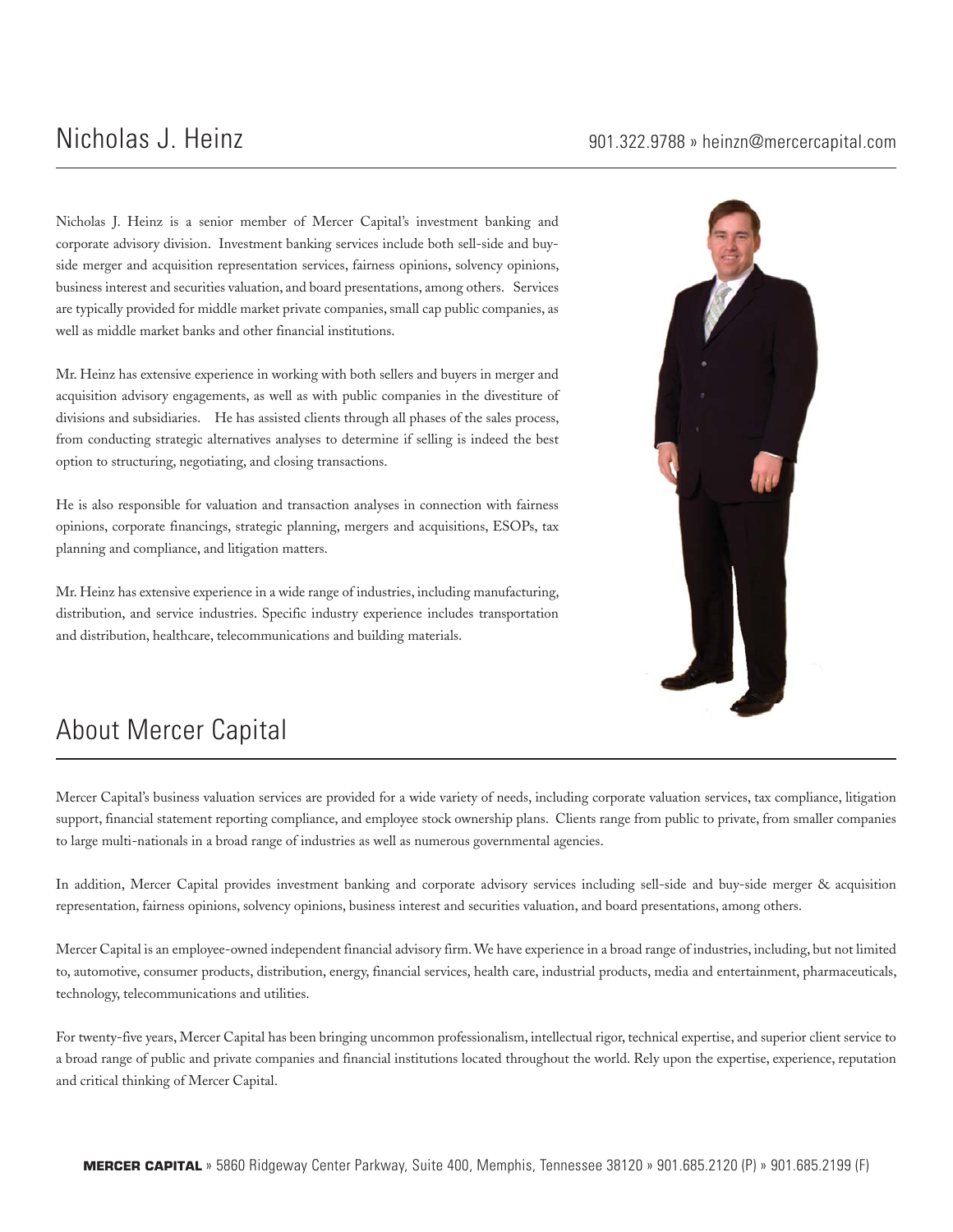Nicholas J. Heinz is a senior member of Mercer Capital's investment banking and corporate advisory division. Investment banking services include both sell-side and buyside merger and acquisition representation services, fairness opinions, solvency opinions, business interest and securities valuation, and board presentations, among others. Services are typically provided for middle market private companies, small cap public companies, as well as middle market banks and other financial institutions.

Mr. Heinz has extensive experience in working with both sellers and buyers in merger and acquisition advisory engagements, as well as with public companies in the divestiture of divisions and subsidiaries. He has assisted clients through all phases of the sales process, from conducting strategic alternatives analyses to determine if selling is indeed the best option to structuring, negotiating, and closing transactions.

He is also responsible for valuation and transaction analyses in connection with fairness opinions, corporate financings, strategic planning, mergers and acquisitions, ESOPs, tax planning and compliance, and litigation matters.

Mr. Heinz has extensive experience in a wide range of industries, including manufacturing, distribution, and service industries. Specific industry experience includes transportation and distribution, healthcare, telecommunications and building materials.



## About Mercer Capital

Mercer Capital's business valuation services are provided for a wide variety of needs, including corporate valuation services, tax compliance, litigation support, financial statement reporting compliance, and employee stock ownership plans. Clients range from public to private, from smaller companies to large multi-nationals in a broad range of industries as well as numerous governmental agencies.

In addition, Mercer Capital provides investment banking and corporate advisory services including sell-side and buy-side merger & acquisition representation, fairness opinions, solvency opinions, business interest and securities valuation, and board presentations, among others.

Mercer Capital is an employee-owned independent financial advisory firm. We have experience in a broad range of industries, including, but not limited to, automotive, consumer products, distribution, energy, financial services, health care, industrial products, media and entertainment, pharmaceuticals, technology, telecommunications and utilities.

For twenty-five years, Mercer Capital has been bringing uncommon professionalism, intellectual rigor, technical expertise, and superior client service to a broad range of public and private companies and financial institutions located throughout the world. Rely upon the expertise, experience, reputation and critical thinking of Mercer Capital.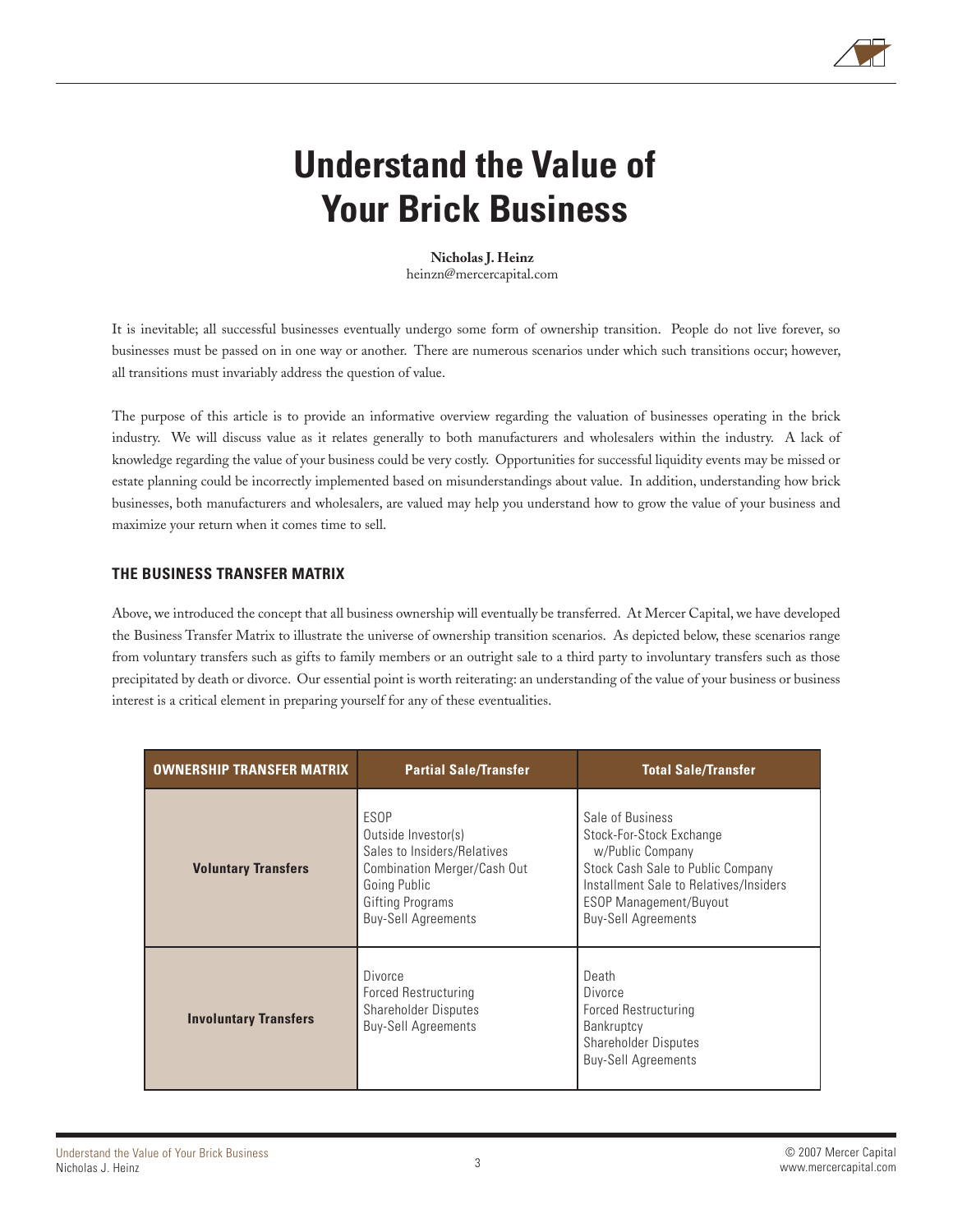

## **Understand the Value of Your Brick Business**

**Nicholas J. Heinz** heinzn@mercercapital.com

It is inevitable; all successful businesses eventually undergo some form of ownership transition. People do not live forever, so businesses must be passed on in one way or another. There are numerous scenarios under which such transitions occur; however, all transitions must invariably address the question of value.

The purpose of this article is to provide an informative overview regarding the valuation of businesses operating in the brick industry. We will discuss value as it relates generally to both manufacturers and wholesalers within the industry. A lack of knowledge regarding the value of your business could be very costly. Opportunities for successful liquidity events may be missed or estate planning could be incorrectly implemented based on misunderstandings about value. In addition, understanding how brick businesses, both manufacturers and wholesalers, are valued may help you understand how to grow the value of your business and maximize your return when it comes time to sell.

#### **THE BUSINESS TRANSFER MATRIX**

Above, we introduced the concept that all business ownership will eventually be transferred. At Mercer Capital, we have developed the Business Transfer Matrix to illustrate the universe of ownership transition scenarios. As depicted below, these scenarios range from voluntary transfers such as gifts to family members or an outright sale to a third party to involuntary transfers such as those precipitated by death or divorce. Our essential point is worth reiterating: an understanding of the value of your business or business interest is a critical element in preparing yourself for any of these eventualities.

| <b>OWNERSHIP TRANSFER MATRIX</b> | <b>Partial Sale/Transfer</b>                                                                                                                                       | <b>Total Sale/Transfer</b>                                                                                                                                                                                     |
|----------------------------------|--------------------------------------------------------------------------------------------------------------------------------------------------------------------|----------------------------------------------------------------------------------------------------------------------------------------------------------------------------------------------------------------|
| <b>Voluntary Transfers</b>       | ESOP<br>Outside Investor(s)<br>Sales to Insiders/Relatives<br>Combination Merger/Cash Out<br>Going Public<br><b>Gifting Programs</b><br><b>Buy-Sell Agreements</b> | Sale of Business<br>Stock-For-Stock Exchange<br>w/Public Company<br>Stock Cash Sale to Public Company<br>Installment Sale to Relatives/Insiders<br><b>ESOP Management/Buyout</b><br><b>Buy-Sell Agreements</b> |
| <b>Involuntary Transfers</b>     | Divorce<br><b>Forced Restructuring</b><br><b>Shareholder Disputes</b><br><b>Buy-Sell Agreements</b>                                                                | Death<br>Divorce<br>Forced Restructuring<br>Bankruptcy<br><b>Shareholder Disputes</b><br><b>Buy-Sell Agreements</b>                                                                                            |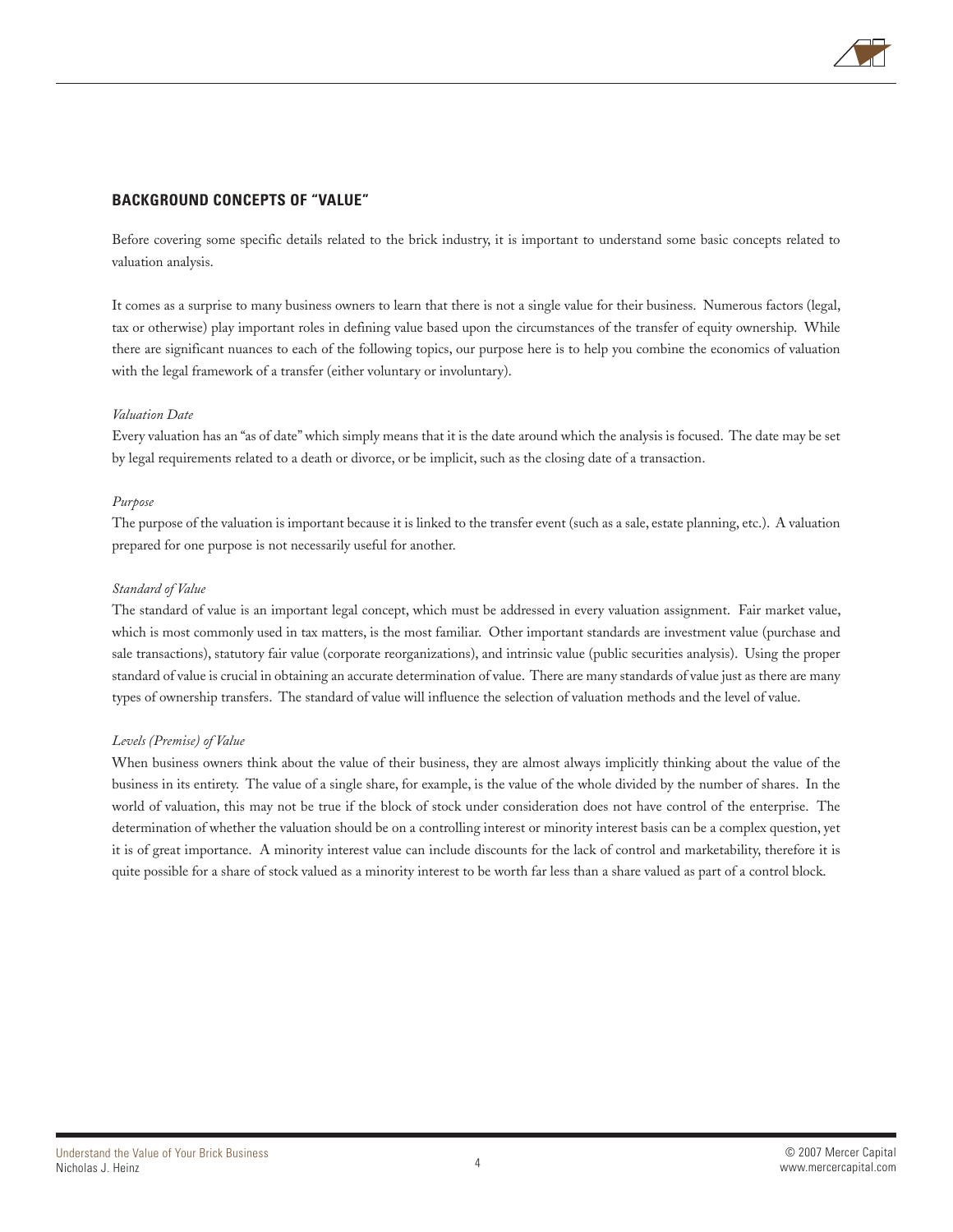

#### **BACKGROUND CONCEPTS OF "VALUE"**

Before covering some specific details related to the brick industry, it is important to understand some basic concepts related to valuation analysis.

It comes as a surprise to many business owners to learn that there is not a single value for their business. Numerous factors (legal, tax or otherwise) play important roles in defining value based upon the circumstances of the transfer of equity ownership. While there are significant nuances to each of the following topics, our purpose here is to help you combine the economics of valuation with the legal framework of a transfer (either voluntary or involuntary).

#### *Valuation Date*

Every valuation has an "as of date" which simply means that it is the date around which the analysis is focused. The date may be set by legal requirements related to a death or divorce, or be implicit, such as the closing date of a transaction.

#### *Purpose*

The purpose of the valuation is important because it is linked to the transfer event (such as a sale, estate planning, etc.). A valuation prepared for one purpose is not necessarily useful for another.

#### *Standard of Value*

The standard of value is an important legal concept, which must be addressed in every valuation assignment. Fair market value, which is most commonly used in tax matters, is the most familiar. Other important standards are investment value (purchase and sale transactions), statutory fair value (corporate reorganizations), and intrinsic value (public securities analysis). Using the proper standard of value is crucial in obtaining an accurate determination of value. There are many standards of value just as there are many types of ownership transfers. The standard of value will influence the selection of valuation methods and the level of value.

#### *Levels (Premise) of Value*

When business owners think about the value of their business, they are almost always implicitly thinking about the value of the business in its entirety. The value of a single share, for example, is the value of the whole divided by the number of shares. In the world of valuation, this may not be true if the block of stock under consideration does not have control of the enterprise. The determination of whether the valuation should be on a controlling interest or minority interest basis can be a complex question, yet it is of great importance. A minority interest value can include discounts for the lack of control and marketability, therefore it is quite possible for a share of stock valued as a minority interest to be worth far less than a share valued as part of a control block.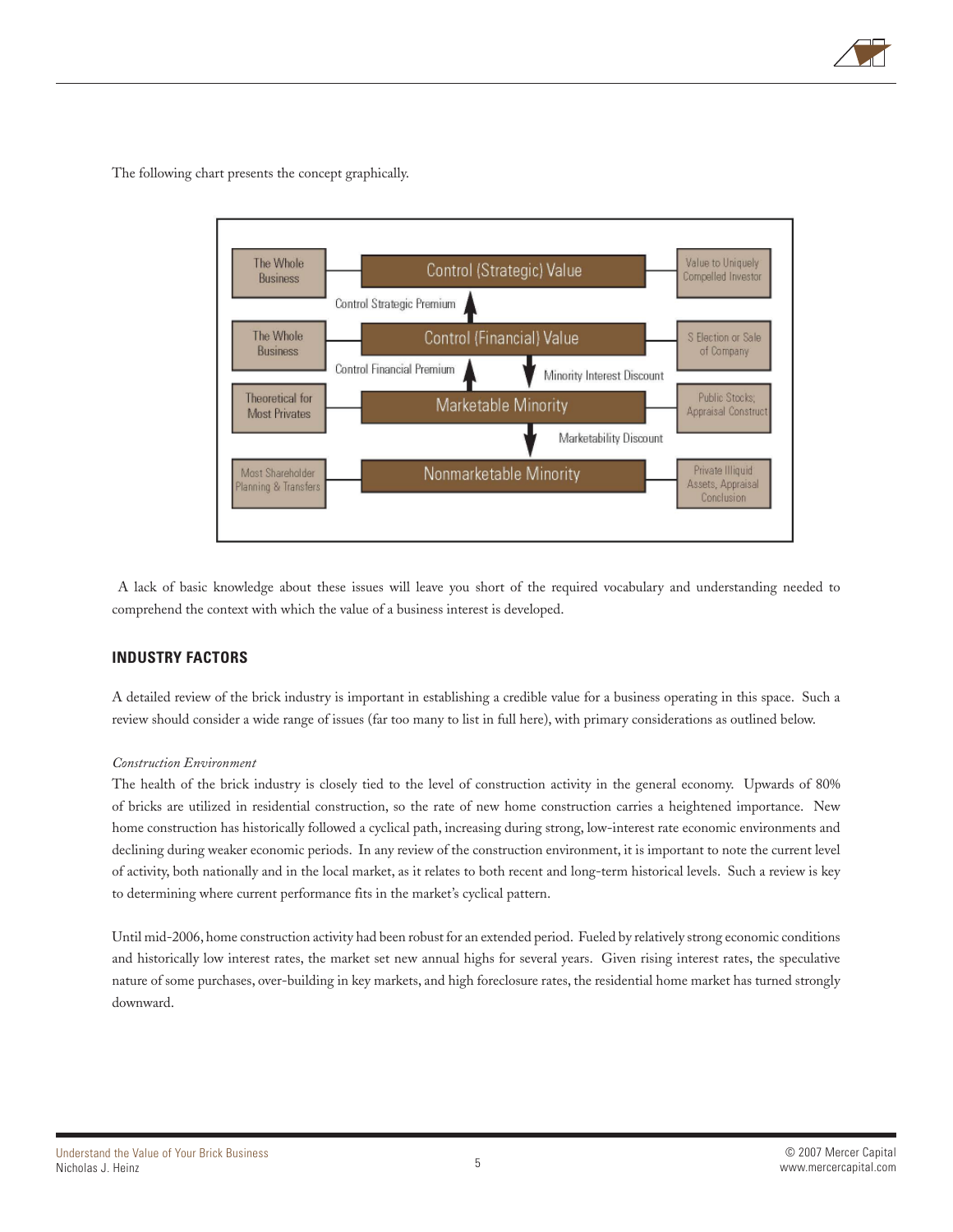

The following chart presents the concept graphically.



 A lack of basic knowledge about these issues will leave you short of the required vocabulary and understanding needed to comprehend the context with which the value of a business interest is developed.

#### **INDUSTRY FACTORS**

A detailed review of the brick industry is important in establishing a credible value for a business operating in this space. Such a review should consider a wide range of issues (far too many to list in full here), with primary considerations as outlined below.

#### *Construction Environment*

The health of the brick industry is closely tied to the level of construction activity in the general economy. Upwards of 80% of bricks are utilized in residential construction, so the rate of new home construction carries a heightened importance. New home construction has historically followed a cyclical path, increasing during strong, low-interest rate economic environments and declining during weaker economic periods. In any review of the construction environment, it is important to note the current level of activity, both nationally and in the local market, as it relates to both recent and long-term historical levels. Such a review is key to determining where current performance fits in the market's cyclical pattern.

Until mid-2006, home construction activity had been robust for an extended period. Fueled by relatively strong economic conditions and historically low interest rates, the market set new annual highs for several years. Given rising interest rates, the speculative nature of some purchases, over-building in key markets, and high foreclosure rates, the residential home market has turned strongly downward.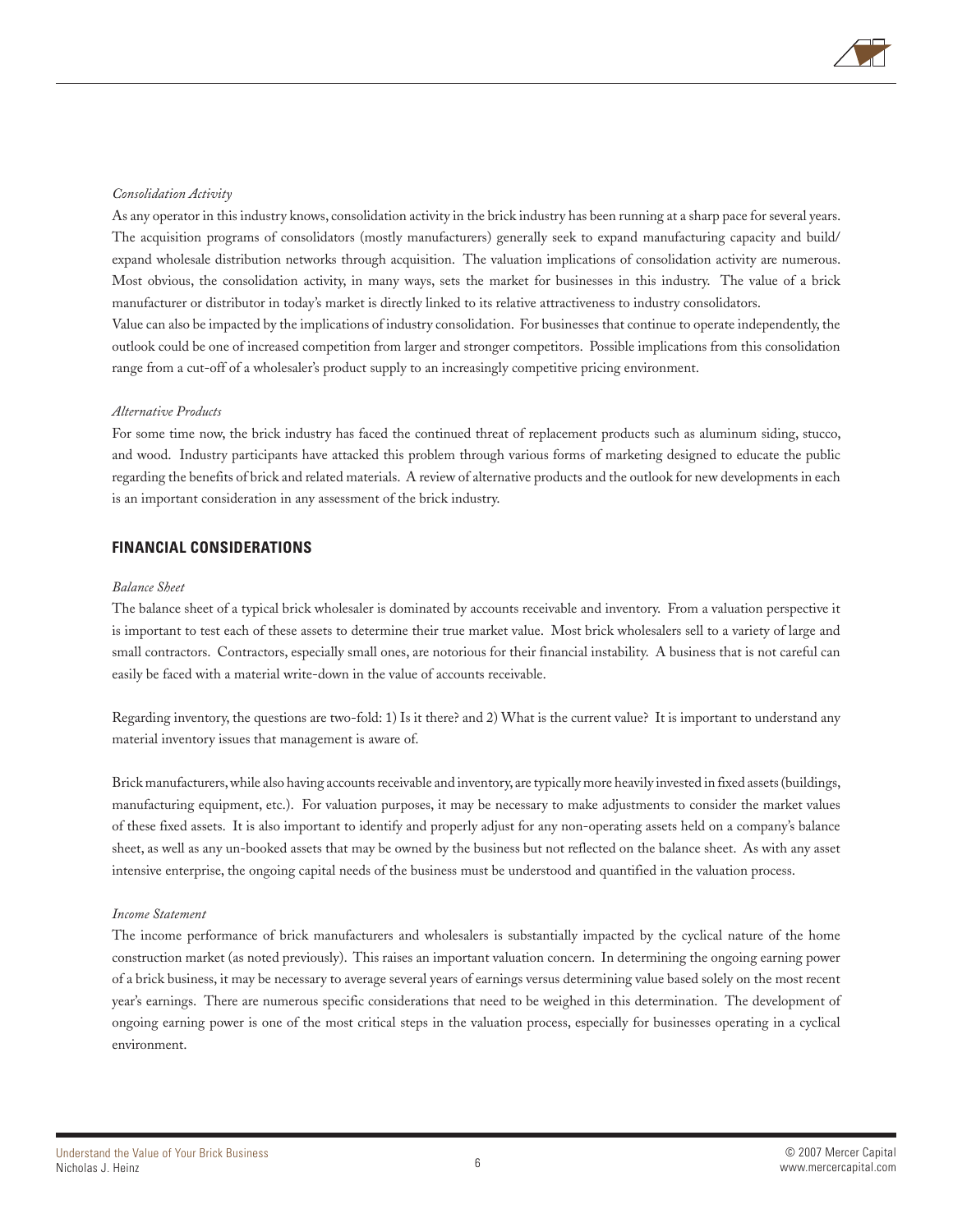

#### *Consolidation Activity*

As any operator in this industry knows, consolidation activity in the brick industry has been running at a sharp pace for several years. The acquisition programs of consolidators (mostly manufacturers) generally seek to expand manufacturing capacity and build/ expand wholesale distribution networks through acquisition. The valuation implications of consolidation activity are numerous. Most obvious, the consolidation activity, in many ways, sets the market for businesses in this industry. The value of a brick manufacturer or distributor in today's market is directly linked to its relative attractiveness to industry consolidators. Value can also be impacted by the implications of industry consolidation. For businesses that continue to operate independently, the

outlook could be one of increased competition from larger and stronger competitors. Possible implications from this consolidation range from a cut-off of a wholesaler's product supply to an increasingly competitive pricing environment.

#### *Alternative Products*

For some time now, the brick industry has faced the continued threat of replacement products such as aluminum siding, stucco, and wood. Industry participants have attacked this problem through various forms of marketing designed to educate the public regarding the benefits of brick and related materials. A review of alternative products and the outlook for new developments in each is an important consideration in any assessment of the brick industry.

#### **FINANCIAL CONSIDERATIONS**

#### *Balance Sheet*

The balance sheet of a typical brick wholesaler is dominated by accounts receivable and inventory. From a valuation perspective it is important to test each of these assets to determine their true market value. Most brick wholesalers sell to a variety of large and small contractors. Contractors, especially small ones, are notorious for their financial instability. A business that is not careful can easily be faced with a material write-down in the value of accounts receivable.

Regarding inventory, the questions are two-fold: 1) Is it there? and 2) What is the current value? It is important to understand any material inventory issues that management is aware of.

Brick manufacturers, while also having accounts receivable and inventory, are typically more heavily invested in fixed assets (buildings, manufacturing equipment, etc.). For valuation purposes, it may be necessary to make adjustments to consider the market values of these fixed assets. It is also important to identify and properly adjust for any non-operating assets held on a company's balance sheet, as well as any un-booked assets that may be owned by the business but not reflected on the balance sheet. As with any asset intensive enterprise, the ongoing capital needs of the business must be understood and quantified in the valuation process.

#### *Income Statement*

The income performance of brick manufacturers and wholesalers is substantially impacted by the cyclical nature of the home construction market (as noted previously). This raises an important valuation concern. In determining the ongoing earning power of a brick business, it may be necessary to average several years of earnings versus determining value based solely on the most recent year's earnings. There are numerous specific considerations that need to be weighed in this determination. The development of ongoing earning power is one of the most critical steps in the valuation process, especially for businesses operating in a cyclical environment.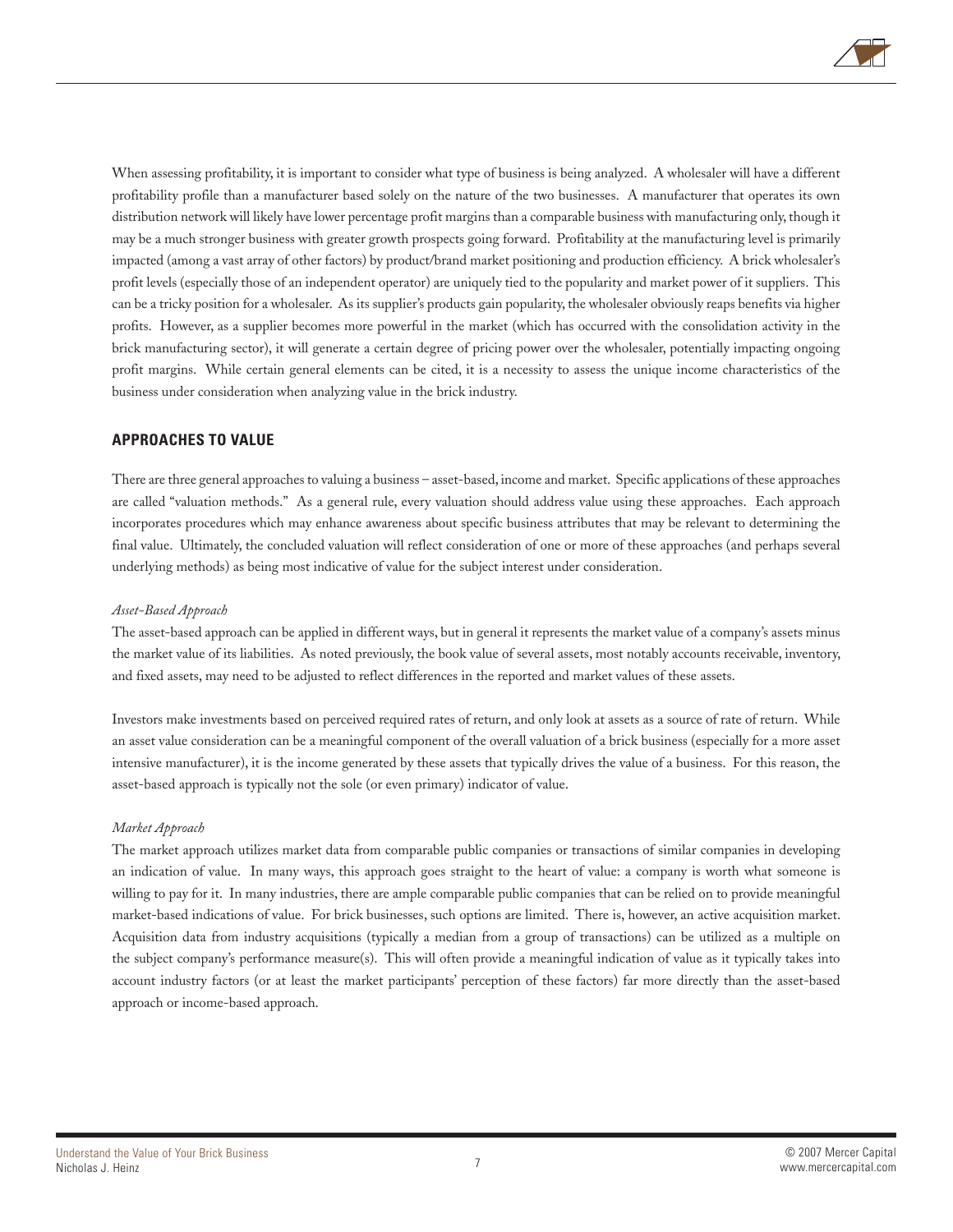

When assessing profitability, it is important to consider what type of business is being analyzed. A wholesaler will have a different profitability profile than a manufacturer based solely on the nature of the two businesses. A manufacturer that operates its own distribution network will likely have lower percentage profit margins than a comparable business with manufacturing only, though it may be a much stronger business with greater growth prospects going forward. Profitability at the manufacturing level is primarily impacted (among a vast array of other factors) by product/brand market positioning and production efficiency. A brick wholesaler's profit levels (especially those of an independent operator) are uniquely tied to the popularity and market power of it suppliers. This can be a tricky position for a wholesaler. As its supplier's products gain popularity, the wholesaler obviously reaps benefits via higher profits. However, as a supplier becomes more powerful in the market (which has occurred with the consolidation activity in the brick manufacturing sector), it will generate a certain degree of pricing power over the wholesaler, potentially impacting ongoing profit margins. While certain general elements can be cited, it is a necessity to assess the unique income characteristics of the business under consideration when analyzing value in the brick industry.

#### **APPROACHES TO VALUE**

There are three general approaches to valuing a business – asset-based, income and market. Specific applications of these approaches are called "valuation methods." As a general rule, every valuation should address value using these approaches. Each approach incorporates procedures which may enhance awareness about specific business attributes that may be relevant to determining the final value. Ultimately, the concluded valuation will reflect consideration of one or more of these approaches (and perhaps several underlying methods) as being most indicative of value for the subject interest under consideration.

#### *Asset-Based Approach*

The asset-based approach can be applied in different ways, but in general it represents the market value of a company's assets minus the market value of its liabilities. As noted previously, the book value of several assets, most notably accounts receivable, inventory, and fixed assets, may need to be adjusted to reflect differences in the reported and market values of these assets.

Investors make investments based on perceived required rates of return, and only look at assets as a source of rate of return. While an asset value consideration can be a meaningful component of the overall valuation of a brick business (especially for a more asset intensive manufacturer), it is the income generated by these assets that typically drives the value of a business. For this reason, the asset-based approach is typically not the sole (or even primary) indicator of value.

#### *Market Approach*

The market approach utilizes market data from comparable public companies or transactions of similar companies in developing an indication of value. In many ways, this approach goes straight to the heart of value: a company is worth what someone is willing to pay for it. In many industries, there are ample comparable public companies that can be relied on to provide meaningful market-based indications of value. For brick businesses, such options are limited. There is, however, an active acquisition market. Acquisition data from industry acquisitions (typically a median from a group of transactions) can be utilized as a multiple on the subject company's performance measure(s). This will often provide a meaningful indication of value as it typically takes into account industry factors (or at least the market participants' perception of these factors) far more directly than the asset-based approach or income-based approach.